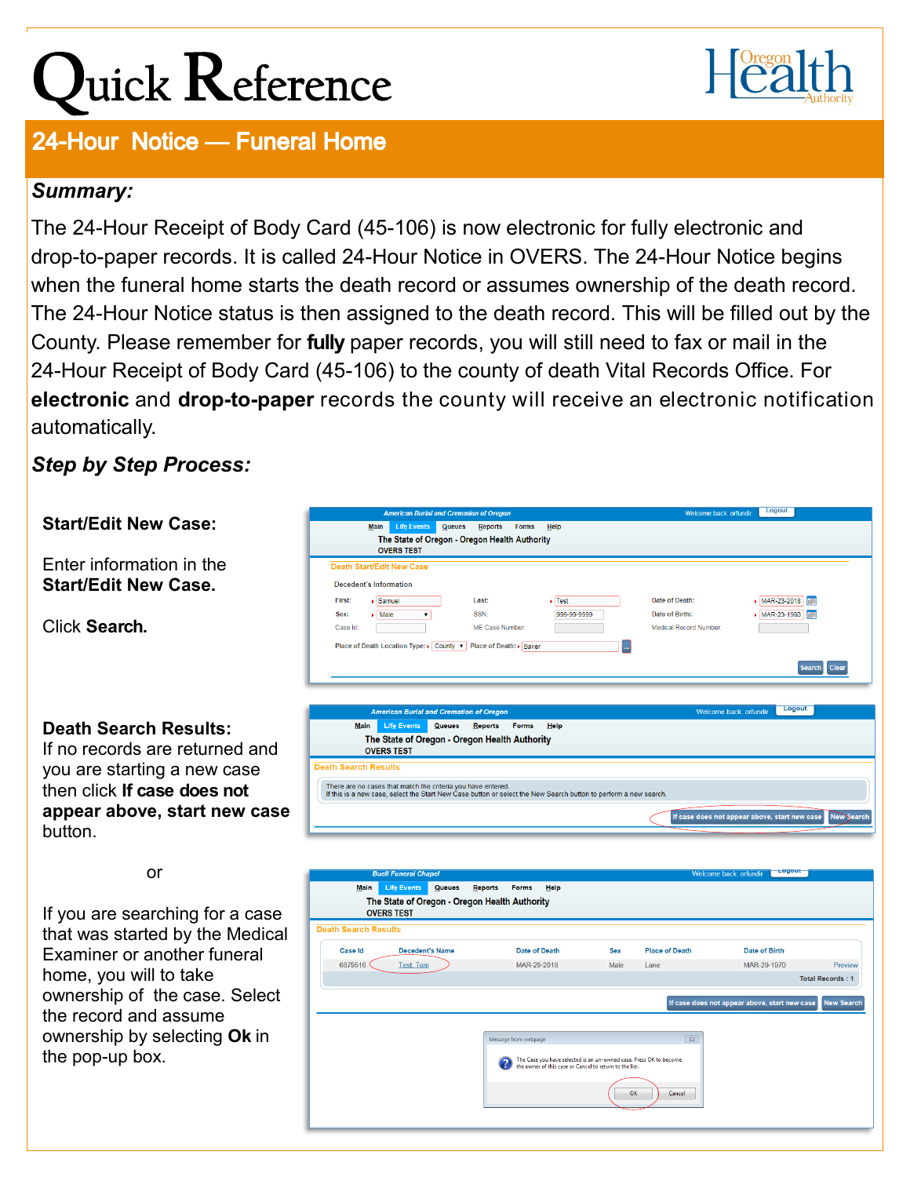## Quick Reference



## 24-Hour Notice - Funeral Home

## *Summary:*

The 24-Hour Receipt of Body Card (45-106) is now electronic for fully electronic and drop-to-paper records. It is called 24-Hour Notice in OVERS. The 24-Hour Notice begins when the funeral home starts the death record or assumes ownership of the death record. The 24-Hour Notice status is then assigned to the death record. This will be filled out by the County. Please remember for **fully** paper records, you will still need to fax or mail in the 24-Hour Receipt of Body Card (45-106) to the county of death Vital Records Office. For **electronic** and **drop-to-paper** records the county will receive an electronic notification automatically.

*Step by Step Process:* 

## Welcome back: orfundir Logout **Start/Edit New Case:**  Main Life Events Queues Reports Forms Help The State of Oregon - Oregon Health Authority **OVERS TEST** Enter information in the **Death Start/Edit New Case Start/Edit New Case.** Decedent's Information Lastr Date of Death: First  $\sqrt{\text{Samuel}}$  $\sqrt{\text{Test}}$ MAR-23-2018 SSN<sup>-</sup> Date of Birth: MAR-23-1980  $\blacktriangleright \fbox{Male} \qquad \qquad \blacktriangleright$ 999-99-9999 Sex: Click **Search.** Case Id:  $\sqrt{2}$ MF Case Number: Medical Record Number Place of Death Location Type: ▶ County ▼ Place of Death: ▶ Baker n Search Clear Logout Main Lif<u>e</u> Events Queues Reports Forms Help **Death Search Results:** The State of Oregon - Oregon Health Authority If no records are returned and **OVERS TEST** you are starting a new case **Search Pasults** then click **If case does not**  There are no cases that match the criteria you have entered.<br>If this is a new case, select the Start New Case button or select the New Search button to perform a new search **appear above, start new case**  If case does not appear above, start new case button. or Life Events Queues Reports Forms Help The State of Oregon - Oregon Health Authority If you are searching for a case **OVERS TEST Death Search Results** that was started by the Medical Case Id **Decedent's Name** Date of Death Sex **Place of Death** Date of Birth Examiner or another funeral 6879516  $Test, Tom$ MAR-29-2018 Male MAR-29-1970 Lane Preview home, you will to take Total Records: 1 ownership of the case. Select the record and assume ownership by selecting **Ok** in Message from webpage  $\overline{\mathbb{Z}}$ the pop-up box. The Case you have selected is an un-owned case. Press OK to becom<br>the owner of this case or Cancel to return to the list. Cancel